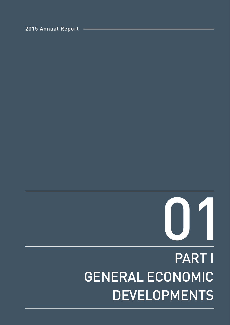# PART I GENERAL ECONOMIC DEVELOPMENTS



2015 Annual Report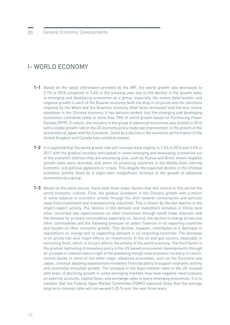# I- WORLD ECONOMY

- **1-1** Based on the latest information provided by the IMF, the world growth rate decreased to 3.1% in 2015 compared to 3.4% in the previous year due to the decline in the growth rates in emerging and developing economies as a group, especially the severe deterioration and negative growth in each of the Russian economy (with the drop in oil prices and the sanctions imposed by the West) and the Brazilian economy (that faces recession) and the less severe slowdown in the Chinese economy. It has become evident that the emerging and developing economies contribute lately to more than 70% of world growth based on Purchasing Power Parities (PPP). In return, the recovery in the group of advanced economies was limited in 2015 with a stable growth rate in the US economy and a moderate improvement in the growth of the economies of Japan and the Eurozone , faced by a decline in the economic performance of the United Kingdom and Canada (see schedule below).
- **1-2** It is expected that the world growth rate will increase back slightly to 3.2% in 2016 and 3.5% in 2017 with the gradual recovery anticipated in some emerging and developing economies out of the economic distress they are witnessing now, such as Russia and Brazil where negative growth rates were recorded, and some oil-producing countries in the Middle-East, barring economic and political agitations or crises. This despite the expected decline in the Chinese economic activity faced by a slight even insignificant increase in the growth of advanced economies as a group.
- **1-3** Based on the same source, there exist three major factors that still control in this period the world economic outlook. First, the gradual slowdown in the Chinese growth with a return of some balance to economic activity through the shift towards consumption and services away from investment and manufacturing industries. This is shown by the fast decline in the import-export activity. The decline in the demand and investment activities in China (and other countries) has repercussions on other economies through world trade channels and the demand for primary commodities especially oil. Second, the decline in energy prices and other commodities and the following pressure on public finances in oil-exporting countries and burden on their economic growth. This decline, however, contributes to a decrease in expenditure on energy and to supporting demand in oil-importing countries. The decrease in oil prices has also major effects on investments in the oil and gas sectors, especially in extracting them, which in its turn affects the activity of the world economy. The third factor is the gradual tightening of monetary policy in the US based on economic developments through an increase in interest rates in light of the prevailing though slow economic recovery. In return, central banks in some of the other major advanced economies, such as the Eurozone and Japan, continue adopting expansionary monetary financial policy to support economic activity and incentivize stimulate growth. The increase in the base interest rates in the US coupled with fears of declining growth in some emerging markets may have negative repercussions on external accounts, capital flows, and exchange rates in some emerging economies. It is to mention that the Federal Open-Market Committee (FOMC) expected lately that the average long-term interest rates will not exceed 3.25 % over the next three years.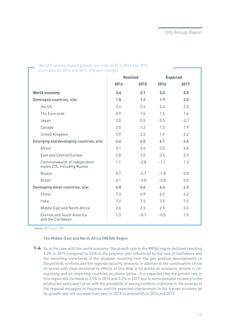|                                                             | <b>Realized</b> |        |        | <b>Expected</b> |
|-------------------------------------------------------------|-----------------|--------|--------|-----------------|
|                                                             | 2014            | 2015   | 2016   | 2017            |
| <b>World economy</b>                                        | 3.4             | 3.1    | 3.2    | 3.5             |
| Developed countries, o/w:                                   | 1.8             | 1.9    | 1.9    | 2.0             |
| the US                                                      | 2.4             | 2.4    | 2.4    | 2.5             |
| The Euro area                                               | 0.9             | 1.6    | 1.5    | 1.6             |
| Japan                                                       | 0.0             | 0.5    | 0.5    | $-0.1$          |
| Canada                                                      | 2.5             | 1.2    | 1.5    | 1.9             |
| United Kingdom                                              | 2.9             | 2.2    | 1.9    | 2.2             |
| Emerging and developing countries, o/w:                     | 4.6             | 4.0    | 4.1    | 4.6             |
| Africa                                                      | 5.1             | 3.4    | 3.0    | 4.0             |
| <b>East and Central Europe</b>                              | 2.8             | 3.5    | 3.5    | 3.3             |
| Commonwealth of independent<br>states CIS, including Russia | 1.1             | $-2.8$ | $-1.1$ | 1.3             |
| Russia                                                      | 0.7             | $-3.7$ | $-1.8$ | 0.8             |
| <b>Brazil</b>                                               | 0.1             | $-3.8$ | $-3.8$ | 0.0             |
| Developing Asian countries, o/w:                            | 6.8             | 6.6    | 6.4    | 6.3             |
| China                                                       | 7.3             | 6.9    | 6.3    | 6.2             |
| India                                                       | 7.2             | 7.3    | 7.5    | 7.5             |
| Middle East and North Africa                                | 2.6             | 2.3    | 2.9    | 3.3             |
| <b>Central and South America</b><br>and the Caribbean       | 1.3             | $-0.1$ | $-0.5$ | 1.5             |

## World Economic Output growth rate (real GDP) in 2014 and 2015, Estimates for 2016 and 2017 (Percent change)

**Source:** WEO report / IMF

#### The Middle-East and North Africa (MENA) Region

**1-4** As is the case with the world economy, the growth rate in the MENA region declined reaching 2.3% in 2015 compared to 2.6% in the previous year influenced by the lack of confidence and the mounting uncertainty of the situation resulting from the geo-political developments i.e the political conflicts and the regional security tensions, in addition to the continuation of low oil prices with clear dissimilarity effects of this drop in oil prices on economic activity in oilexporting and oil-importing countries as shown below. It is expected that the growth rate in this region will increase to 2.9% in 2016 and 3.3% in 2017 due to some possible recovery in the production and export of oil with the possibility of easing conflicts, a decline in the severity of the regional struggles in this area, and the expected improvement in the Iranian economy as its growth rate will increase from zero in 2015 to around 4% in 2016 and 2017.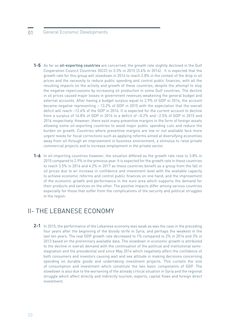# 01 General Economic Developments

- **1-5** As far as **oil-exporting countries** are concerned, the growth rate slightly declined in the Gulf Cooperation Council Countries (GCC) to 3.3% in 2015 (3.4% in 2014). It is expected that the growth rate for this group will slowdown in 2016 to reach 2.8% in the context of the drop in oil prices and the necessity to reduce public spending and control public finances, with all the resulting impacts on the activity and growth of these countries, despite the attempt to stop the negative repercussions by increasing oil production in some Gulf countries. The decline in oil prices caused major losses in government revenues weakening the general budget and external accounts. After having a budget surplus equal to 2.9% of GDP in 2014, the account became negative representing – 13.2% of GDP in 2015 with the expectation that the overall deficit will reach –12.6% of the GDP in 2016. It is expected for the current account to decline from a surplus of 14.8% of GDP in 2014 to a deficit of –0.2% and –2.5% of GDP in 2015 and 2016 respectively. However, there exist many preventive margins in the form of foreign assets allowing some oil-exporting countries to avoid major public spending cuts and reduce the burden on growth. Countries where preventive margins are low or not available face more urgent needs for fiscal corrections such as applying reforms aimed at diversifying economies away from oil through an improvement in business environment, a stimulus to raise private commercial projects and to increase employment in the private sector.
- **1-6** In oil-importing countries however, the situation differed as the growth rate rose to 3.8% in 2015 compared to 2.9% in the previous year. It is expected for the growth rate in these countries to reach 3.5% in 2016 and 4.2% in 2017 as these countries benefit as a group from the fall in oil prices due to an increase in confidence and investment level with the available capacity to achieve economic reforms and control public finances on one hand, and the improvement of the economic growth and performance in the euro area which supports the demand for their products and services on the other. The positive impacts differ among various countries especially for those that suffer from the complications of the security and political struggles in the region.

# II- THE LEBANESE ECONOMY

In 2015, the performance of the Lebanese economy was weak as was the case in the preceding **2-1** four years after the beginning of the bloody strife in Syria, and perhaps the weakest in the last ten years. The real GDP growth rate decreased to 1% compared to 2% in 2014 and 3% in 2013 based on the preliminary available data. The slowdown in economic growth is attributed to the decline in overall demand with the continuation of the political and institutional semistagnation and the presidential void since May 2014 which negatively affect the confidence of both consumers and investors causing wait and see attitude in making decisions concerning spending on durable goods and undertaking investment projects. This curtails the size of consumption and investment which constitute the two basic components of GDP. The slowdown is also due to the worsening of the already critical situation in Syria and the regional struggle which affect directly and indirectly tourism, exports, capital flows and foreign direct investment.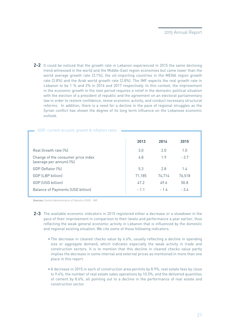**2-2** It could be noticed that the growth rate in Lebanon experienced in 2015 the same declining trend witnessed in the world and the Middle-East region economies but came lower than the world average growth rate (3.1%), the oil-importing countries in the MENA region growth rate (3.8%) and the Arab world growth rate (2.8%). The IMF expects the real growth rate in Lebanon to be 1 % and 2% in 2016 and 2017 respectively. In this context, the improvement in the economic growth in the next period requires a relief in the domestic political situation with the election of a president of republic and the agreement on an electoral parliamentary law in order to restore confidence, revive economic activity, and conduct necessary structural reforms. In addition, there is a need for a decline in the pace of regional struggles as the Syrian conflict has shown the degree of its long term influence on the Lebanese economic outlook.

| GDP, current account, growth & inflation rates                |        |        |        |
|---------------------------------------------------------------|--------|--------|--------|
|                                                               | 2013   | 2014   | 2015   |
| Real Growth rate [%]                                          | 3.0    | 2.0    | 1.0    |
| Change of the consumer price index<br>(average per annum) (%) | 4.8    | 1.9    | $-3.7$ |
| GDP Deflator [%]                                              | 5.3    | 2.8    | 1.4    |
| GDP (LBP billion)                                             | 71,185 | 74,714 | 76,518 |
| GDP (USD billion)                                             | 47.2   | 49.6   | 50.8   |
| Balance of Payments (USD billion)                             | $-1.1$ | $-1.4$ | $-3.4$ |

**Sources:** Central Administration of Statistics (CAS) - IMF.

- The available economic indicators in 2015 registered either a decrease or a slowdown in the **2-3** pace of their improvement in comparison to their levels and performance a year earlier, thus reflecting the weak general economic activity in Lebanon that is influenced by the domestic and regional existing situation. We cite some of these following indicators:
	- The decrease in cleared checks value by 6.6%, usually reflecting a decline in spending size or aggregate demand, which indicates especially the weak activity in trade and construction sectors. It is to mention that this decline in cleared checks value partly implies the decrease in some internal and external prices as mentioned in more than one place in this report.
	- A decrease in 2015 in each of construction area permits by 8.9%, real estate fees by close to 9.4%, the number of real estate sales operations by 10.5%, and the delivered quantities of cement by 8.6%, all pointing out to a decline in the performance of real estate and construction sector.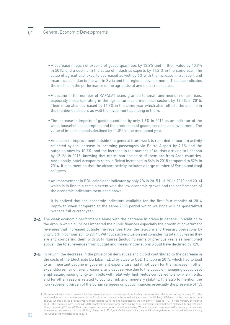# 01 General Economic Developments

- A decrease in each of exports of goods quantities by 13.2% and in their value by 10.9% in 2015, and a decline in the value of industrial exports by 11.2 % in the same year. The value of agricultural exports decreased as well by 6% with the increase in transport and insurance cost due to the war in Syria and the regional developments. This also indicates the decline in the performance of the agricultural and industrial sectors.
- A decline in the number of KAFALAT loans granted to small and medium enterprises, especially those operating in the agricultural and industrial sectors by 19.2% in 2015. Their value also decreased by 14.8% in the same year which also reflects the decline in the mentioned sectors as well the investment spending in them.
- The increase in imports of goods quantities by only 1.6% in 2015 as an indicator of the weak household consumption and the production of goods, services and investment. The value of imported goods declined by 11.8% in the mentioned year.
- An apparent improvement outside the general framework is recorded in tourism activity reflected by the increase in incoming passengers via Beirut Airport by 9.1% and the outgoing ones by 10.7%, and the increase in the number of tourists arriving to Lebanon by 12.1% in 2015, knowing that more than one third of them are from Arab countries. Additionally, hotel occupancy rates in Beirut increased to 56% in 2015 compared to 52% in 2014. It is to mention that the airport activity includes a large number of Syrian and Iraqi refugees.
- An improvement in BDL coincident indicator by only 2% in 2015 (+ 3.2% in 2013 and 2014) which is in line to a certain extent with the low economic growth and the performance of the economic indicators mentioned above.

It is noticed that the economic indicators available for the first four months of 2016 improved when compared to the same 2015 period which we hope will be generalized over the full current year.

- The weak economic performance along with the decrease in prices in general, in addition to **2-4** the drop in world oil prices impacted the public finances especially the growth of government revenues that increased outside the revenues from the telecom and treasury operations by only 0.6% in comparison to 20141 . Without such exclusion and considering total figures as they are and comparing them with 2014 figures (including sums of previous years as mentioned above), the total revenues from budget and treasury operations would have declined by 12%.
- In return, the decrease in the price of oil derivatives and oil bill contributed to the decrease in **2-5** the costs of the Electricité Du Liban (EDL) by close to USD 1 billion in 2015, which had to lead to an important decline in government expenditure had it not been for the increase in other expenditures, for different reasons, and debt service due to the policy of managing public debt emphasizing issuing long-term bills with relatively high yields compared to short-term bills, and for other reasons related to country risk and monetary stability. It is also to mention the non -apparent burden of the Syrian refugees on public finances especially the presence of 1.5

We excluded from this comparison, for the sake of precision, the revenues from the telecommunications because starting January 2015, the 1telecom figures that are represented in the fiscal performance are the actual transfers from the Ministry of Telecom to the treasury account at BDL, whereas in the previous years, these figures were the one estimated by the Ministry of Telecom (MOT) or the Ministry of Finance (MOF). The revenues from telecom in 2014 practically included large sums dating back to previous years that were collected during that year. Thus, comparing 2015 and 2014 in this respect becomes imprecise and misleading. We also excluded resources in the treasury transactions due to collecting arrears from the Ministry of telecom in 2014, out of which part is for the municipalities, whereas the issue differs concerning the funds of the municipalities in 2015.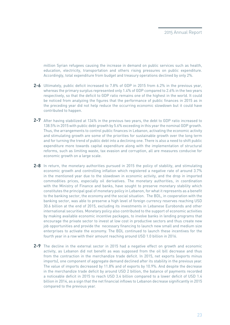million Syrian refugees causing the increase in demand on public services such as health, education, electricity, transportation and others rising pressures on public expenditure. Accordingly, total expenditure from budget and treasury operations declined by only 2%.

- Ultimately, public deficit increased to 7.8% of GDP in 2015 from 6.2% in the previous year, **2-6** whereas the primary surplus represented only 1.4% of GDP compared to 2.6% in the two years respectively, so that the deficit to GDP ratio remains one of the highest in the world. It could be noticed from analyzing the figures that the performance of public finances in 2015 as in the preceding year did not help reduce the occurring economic slowdown but it could have contributed to happen.
- After having stabilized at 134% in the previous two years, the debt to GDP ratio increased to **2-7** 138.5% in 2015 with public debt growth by 5.6% exceeding in this year the nominal GDP growth. Thus, the arrangements to control public finances in Lebanon, activating the economic activity and stimulating growth are some of the priorities for sustainable growth over the long term and for turning the trend of public debt into a declining one. There is also a need to shift public expenditure more towards capital expenditure along with the implementation of structural reforms, such as limiting waste, tax evasion and corruption, all are measures conducive for economic growth on a large scale.
- In return, the monetary authorities pursued in 2015 the policy of stability, and stimulating **2-8** economic growth and controlling inflation which registered a negative rate of around 3.7% in the mentioned year due to the slowdown in economic activity, and the drop in imported commodities prices, especially oil derivatives. The monetary authorities, in coordination with the Ministry of Finance and banks, have sought to preserve monetary stability which constitutes the principal goal of monetary policy in Lebanon, for what it represents as a benefit to the banking sector, the economy and the social situation. The BDL, in cooperation with the banking sector, was able to preserve a high level of foreign currency reserves reaching USD 30.6 billion at the end of 2015, excluding its investments in Lebanese Eurobonds and other international securities. Monetary policy also contributed to the support of economic activities by making available economic incentive packages, to involve banks in lending programs that encourage the private sector to invest at low cost in productive sectors and thus create new job opportunities and provide the necessary financing to launch new small and medium size enterprises to activate the economy. The BDL continued to launch these incentives for the fourth year in a row with their amount reaching around USD 1.0 billion in 2016.
- The decline in the external sector in 2015 had a negative effect on growth and economic **2-9**activity, as Lebanon did not benefit as was supposed from the oil bill decrease and thus from the contraction in the merchandize trade deficit. In 2015, net exports (exports minus imports), one component of aggregate demand declined after its stability in the previous year. The value of imports decreased by 11.8% and of exports by 10.9%. And despite the decrease in the merchandize trade deficit by around USD 2 billion, the balance of payments recorded a noticeable deficit in 2015 to reach USD 3.4 billion compared to a lower deficit of USD 1.4 billion in 2014, as a sign that the net financial inflows to Lebanon decrease significantly in 2015 compared to the previous year.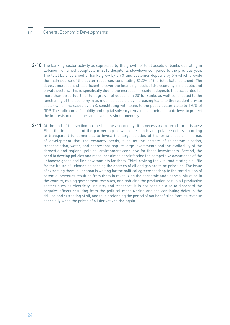# 01 General Economic Developments

- **2-10** The banking sector activity as expressed by the growth of total assets of banks operating in Lebanon remained acceptable in 2015 despite its slowdown compared to the previous year. The total balance sheet of banks grew by 5.9% and customer deposits by 5% which provide the main source of the sector resources constituting 83.3% of the total balance sheet. The deposit increase is still sufficient to cover the financing needs of the economy in its public and private sectors. This is specifically due to the increase in resident deposits that accounted for more than three-fourth of total growth of deposits in 2015. Banks as well contributed to the functioning of the economy in as much as possible by increasing loans to the resident private sector which increased by 5.9% constituting with loans to the public sector close to 170% of GDP. The indicators of liquidity and capital solvency remained at their adequate level to protect the interests of depositors and investors simultaneously.
- 2-11 At the end of the section on the Lebanese economy, it is necessary to recall three issues: First, the importance of the partnership between the public and private sectors according to transparent fundamentals to invest the large abilities of the private sector in areas of development that the economy needs, such as the sectors of telecommunication, transportation, water, and energy that require large investments and the availability of the domestic and regional political environment conducive for these investments. Second, the need to develop policies and measures aimed at reinforcing the competitive advantages of the Lebanese goods and find new markets for them. Third, reviving the vital and strategic oil file for the future of Lebanon as passing the decrees of oil and gas are to be priorities. The issue of extracting them in Lebanon is waiting for the political agreement despite the contribution of potential revenues resulting from them in revitalizing the economic and financial situation in the country, raising government revenues, and reducing the production cost in all productive sectors such as electricity, industry and transport. It is not possible also to disregard the negative effects resulting from the political maneuvering and the continuing delay in the drilling and extracting of oil, and thus prolonging the period of not benefitting from its revenue especially when the prices of oil derivatives rise again.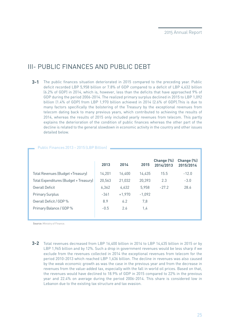# III- PUBLIC FINANCES AND PUBLIC DEBT

**3-1** The public finances situation deteriorated in 2015 compared to the preceding year. Public deficit recorded LBP 5,958 billion or 7.8% of GDP compared to a deficit of LBP 4,632 billion (6.2% of GDP) in 2014, which is, however, less than the deficits that have approached 9% of GDP during the period 2006-2014. The realized primary surplus declined in 2015 to LBP 1,092 billion (1.4% of GDP) from LBP 1,970 billion achieved in 2014 (2.6% of GDP).This is due to many factors specifically the bolstering of the Treasury by the exceptional revenues from telecom dating back to many previous years, which contributed to achieving the results of 2014, whereas the results of 2015 only included yearly revenues from telecom. This partly explains the deterioration of the condition of public finances whereas the other part of the decline is related to the general slowdown in economic activity in the country and other issues detailed below.

|                                        | 2013   | 2014     | 2015     | Change (%)<br>2014/2013 | Change (%)<br>2015/2014 |
|----------------------------------------|--------|----------|----------|-------------------------|-------------------------|
| Total Revenues (Budget +Treasury)      | 14,201 | 16,400   | 14.435   | 15.5                    | $-12.0$                 |
| Total Expenditures (Budget + Treasury) | 20,563 | 21,032   | 20,393   | 2.3                     | $-3.0$                  |
| Overall Deficit                        | 6,362  | 4.632    | 5,958    | $-27.2$                 | 28.6                    |
| <b>Primary Surplus</b>                 | $-361$ | $+1,970$ | $-1,092$ |                         |                         |
| Overall Deficit / GDP %                | 8.9    | 6.2      | 7,8      |                         |                         |
| Primary Balance / GDP %                | $-0.5$ | 2.6      | 1,4      |                         |                         |
|                                        |        |          |          |                         |                         |

Public Finances 2013 – 2015 (LBP Billion)

**Source:** Ministry of Finance.

Total revenues decreased from LBP 16,400 billion in 2014 to LBP 14,435 billion in 2015 or by **3-2** LBP 1,965 billion and by 12%. Such a drop in government revenues would be less sharp if we exclude from the revenues collected in 2014 the exceptional revenues from telecom for the period 2010-2013 which reached LBP 1,636 billion. The decline in revenues was also caused by the weak economic growth as was the case in the previous year and from the decrease in revenues from the value-added tax, especially with the fall in world oil prices. Based on that, the revenues would have declined to 18.9% of GDP in 2015 compared to 22% in the previous year and 22.4% on average during the period 2006-2014. This share is considered low in Lebanon due to the existing tax structure and tax evasion.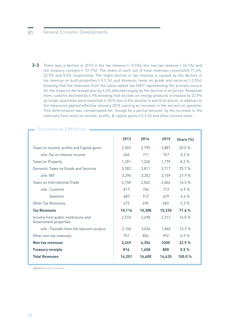# 01 General Economic Developments

**3-3** There was a decline in 2015 in the tax revenue (- 0.5%), the non-tax revenue (-24.1%) and the treasury receipts (- 51.7%). The share of each out of total revenues constituted 71.6%, 22.9% and 5.5% respectively. The slight decline in tax revenue is caused by the decline in tax revenue on built properties (-5.3 %), and domestic taxes on goods and services (-2.5%), knowing that the revenues from the value-added tax (VAT) representing the primary source for the treasury decreased also by 4.3% affected largely by the decline in oil prices. Revenues from customs declined by 6.9% knowing that excises on energy products increased by 22.9% as larger quantities were imported in 2015 due to the decline in world oil prices, in addition to the measures applied effective January 2015 causing an increase in the excises on gasoline. This deterioration was compensated for, though by a partial amount, by the increase in the revenues from taxes on income, profits, & capital gains (+3.3 %) and other income taxes.

|                                                              | 2013   | 2014   | 2015   | Share (%) |
|--------------------------------------------------------------|--------|--------|--------|-----------|
| Taxes on income, profits and Capital gains                   | 2,502  | 2,795  | 2,887  | 20.0%     |
| o/w: Tax on interest income                                  | 660    | 711    | 767    | 5.3%      |
| Taxes on Property                                            | 1,201  | 1,245  | 1,179  | 8.2%      |
| Domestic Taxes on Goods and Services                         | 3,782  | 3,811  | 3,717  | 25.7%     |
| o/w: VAT                                                     | 3,296  | 3,302  | 3,159  | 21.9%     |
| Taxes on International Trade                                 | 2,158  | 2,042  | 2,064  | 14.3%     |
| o/w : Customs                                                | 817    | 766    | 713    | 4.9%      |
| Gasoline                                                     | 483    | 512    | 629    | 4.4%      |
| Other Tax Revenues                                           | 473    | 495    | 483    | $3.3\%$   |
| <b>Tax Revenues</b>                                          | 10,116 | 10,388 | 10,330 | 71.6%     |
| Income from public institutions and<br>Government properties | 2,518  | 3,498  | 2,313  | 16.0%     |
| o/w : Transfer from the telecom surplus                      | 2,156  | 3,034  | 1,860  | 12.9%     |
| Other non-tax revenues                                       | 751    | 856    | 992    | 6.9%      |
| <b>Non-tax revenues</b>                                      | 3,269  | 4,354  | 3305   | 22.9%     |
| <b>Treasury receipts</b>                                     | 816    | 1,658  | 800    | 5.5%      |
| <b>Total Revenues</b>                                        | 14,201 | 16,400 | 14,435 | 100.0%    |

Total Revenues (LBP Billion)

**Source:** Ministry of Finance.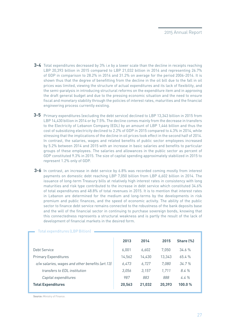- Total expenditures decreased by 3% i.e by a lower scale than the decline in receipts reaching **3-4** LBP 20,393 billion in 2015 compared to LBP 21,032 billion in 2014 and representing 26.7% of GDP in comparison to 28.2% in 2014 and 31.2% on average for the period 2006-2014. It is shown thus that the degree of benefitting from the decline in the oil bill due to the fall in oil prices was limited, viewing the structure of actual expenditures and its lack of flexibility, and the semi-paralysis in introducing structural reforms on the expenditure item and in approving the draft general budget and due to the pressing economic situation and the need to ensure fiscal and monetary stability through the policies of interest rates, maturities and the financial engineering process currently existing.
- **3-5** Primary expenditures (excluding the debt service) declined to LBP 13,343 billion in 2015 from LBP 14,430 billion in 2014 or by 7.5%. The decline comes mainly from the decrease in transfers to the Electricity of Lebanon Company (EDL) by an amount of LBP 1,446 billion and thus the cost of subsidizing electricity declined to 2.2% of GDP in 2015 compared to 4.3% in 2014, while stressing that the implications of the decline in oil prices took effect in the second half of 2014. In contrast, the salaries, wages and related benefits of public sector employees increased by 5.2% between 2014 and 2015 with an increase in basic salaries and benefits to particular groups of these employees. The salaries and allowances in the public sector as percent of GDP constituted 9.3% in 2015. The size of capital spending approximately stabilized in 2015 to represent 1.2% only of GDP.
- **3-6** In contrast, an increase in debt service by 6.8% was recorded coming mostly from interest payments on domestic debt reaching LBP 7,050 billion from LBP 6,602 billion in 2014. The issuance of long-term Treasury bills at relatively high interest rates in consistency with long maturities and risk type contributed to the increase in debt service which constituted 34.6% of total expenditures and 48.8% of total revenues in 2015. It is to mention that interest rates in Lebanon are determined for the medium and long-terms by the developments in risk premium and public finances, and the speed of economic activity. The ability of the public sector to finance debt service remains connected to the robustness of the bank deposits base and the will of the financial sector in continuing to purchase sovereign bonds, knowing that this connectedness represents a structural weakness and is partly the result of the lack of development of financial markets in the desired form.

|                                                 | 2013   | 2014   | 2015   | Share (%) |
|-------------------------------------------------|--------|--------|--------|-----------|
| Debt Service                                    | 6,001  | 6,602  | 7.050  | 34.6%     |
| <b>Primary Expenditures</b>                     | 14,562 | 14,430 | 13.343 | 65.4%     |
| o/w salaries, wages and other benefits (art.13) | 6,473  | 6,727  | 7.080  | 34.7%     |
| transfers to FDI institution                    | 3.056  | 3.157  | 1.711  | 8.4%      |
| Capital expenditures                            | 987    | 883    | 888    | 4.4%      |
| <b>Total Expenditures</b>                       | 20,563 | 21,032 | 20,393 | 100.0%    |

#### Total expenditures (LBP Billion)

**Source:** Ministry of Finance.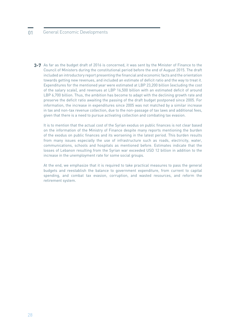# 01 General Economic Developments

As far as the budget draft of 2016 is concerned, it was sent by the Minister of Finance to the **3-7**Council of Ministers during the constitutional period before the end of August 2015. The draft included an introductory report presenting the financial and economic facts and the orientation towards getting new revenues, and included an estimate of deficit ratio and the way to treat it. Expenditures for the mentioned year were estimated at LBP 23,200 billion (excluding the cost of the salary scale), and revenues at LBP 16,500 billion with an estimated deficit of around LBP 6,700 billion. Thus, the ambition has become to adapt with the declining growth rate and preserve the deficit ratio awaiting the passing of the draft budget postponed since 2005. For information, the increase in expenditures since 2005 was not matched by a similar increase in tax and non-tax revenue collection, due to the non-passage of tax laws and additional fees, given that there is a need to pursue activating collection and combating tax evasion.

It is to mention that the actual cost of the Syrian exodus on public finances is not clear based on the information of the Ministry of Finance despite many reports mentioning the burden of the exodus on public finances and its worsening in the latest period. This burden results from many issues especially the use of infrastructure such as roads, electricity, water, communications, schools and hospitals as mentioned before. Estimates indicate that the losses of Lebanon resulting from the Syrian war exceeded USD 12 billion in addition to the increase in the unemployment rate for some social groups.

At the end, we emphasize that it is required to take practical measures to pass the general budgets and reestablish the balance to government expenditure, from current to capital spending, and combat tax evasion, corruption, and wasted resources, and reform the retirement system.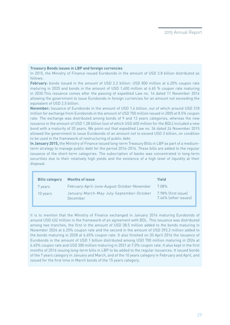#### **Treasury Bonds issues in LBP and foreign currencies**

In 2015, the Ministry of Finance issued Eurobonds in the amount of USD 3.8 billion distributed as follows:

**February:** bonds issued in the amount of USD 2.2 billion: USD 800 million at 6.20% coupon rate maturing in 2025 and bonds in the amount of USD 1,400 million at 6.65 % coupon rate maturing in 2030.This issuance comes after the passing of expedited Law no. 14 dated 11 November 2014 allowing the government to issue Eurobonds in foreign currencies for an amount not exceeding the equivalent of USD 2.5 billion.

**November:** Issuance of Eurobonds in the amount of USD 1.6 billion, out of which around USD 318 million for exchange from Eurobonds in the amount of USD 750 million issued in 2005 at 8.5% coupon rate. The exchange was distributed among bonds of 9 and 13 years categories, whereas the new issuance in the amount of USD 1.28 billion (out of which USD 600 million for the BDL) included a new bond with a maturity of 20 years. We point-out that expedited Law no. 36 dated 24 November 2015 allowed the government to issue Eurobonds of an amount not to exceed USD 3 billion, on condition to be used in the framework of restructuring of public debt.

**In January 2015,** the Ministry of Finance issued long-term Treasury Bills in LBP as part of a mediumterm strategy to manage public debt for the period 2014-2016. These bills are added to the regular issuance of the short-term categories. The subscription of banks was concentrated in long-term securities due to their relatively high yields and the existence of a high level of liquidity at their disposal.

| <b>Bills category</b> | <b>Months of issue</b>                               | Yield                                       |
|-----------------------|------------------------------------------------------|---------------------------------------------|
| 7 years               | February-April-June-August-October-November          | 7.08%                                       |
| 10 years              | January-March-May-July-September-October<br>December | 7.98% (first issue)<br>7.46% (other issues) |

It is to mention that the Ministry of Finance exchanged in January 2016 maturing Eurobonds of around USD 432 million in the framework of an agreement with BDL. This issuance was distributed among two tranches, the first in the amount of USD 38.5 million added to the bonds maturing in November 2024 at 6.25% coupon rate and the second in the amount of USD 393.2 million added to the bonds maturing in 2028 at 6.65% coupon rate. It also finished on 20 April 2016 the issuance of Eurobonds in the amount of USD 1 billion distributed among USD 700 million maturing in 2024 at 6.65% coupon rate and USD 300 million maturing in 2031 at 7.0% coupon rate. It also kept in the first months of 2016 issuing long-term bills in LBP to be added to the regular issuances. It issued bonds of the 7 years category in January and March, and of the 10 years category in February and April, and issued for the first time in March bonds of the 15 years category.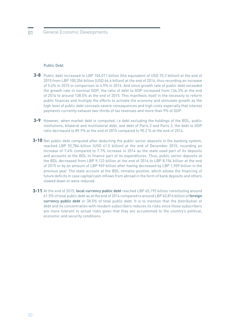#### Public Debt

- **3-8** Public debt increased to LBP 106,011 billion (the equivalent of USD 70.3 billion) at the end of 2015 from LBP 100,356 billion (USD 66.6 billion) at the end of 2014, thus recording an increase of 5.6% in 2015 in comparison to 4.9% in 2014. And since growth rate of public debt exceeded the growth rate in nominal GDP, the ratio of debt to GDP increased from 134.3% at the end of 2014 to around 138.5% at the end of 2015. This manifests itself in the necessity to reform public finances and multiply the efforts to activate the economy and stimulate growth as the high level of public debt conceals severe consequences and high costs especially that interest payments currently exhaust two-thirds of tax revenues and more than 9% of GDP.
- **3-9** However, when market debt is computed, i.e debt excluding the holdings of the BDL, public institutions, bilateral and multilateral debt, and debt of Paris 2 and Paris 3, the debt to GDP ratio decreased to 89.9% at the end of 2015 compared to 90.2 % at the end of 2014.
- **3-10** Net public debt computed after deducting the public sector deposits in the banking system, reached LBP 92,784 billion (USD 61.5 billion) at the end of December 2015, recording an increase of 7.4% compared to 7.7% increase in 2014 as the state used part of its deposits and accounts at the BDL to finance part of its expenditures. Thus, public sector deposits at the BDL decreased from LBP 9,123 billion at the end of 2014 to LBP 8,154 billion at the end of 2015 or by an amount of LBP 969 billion after having decreased by LBP 1,909 billion in the previous year. The state account at the BDL remains positive, which allows the financing of future deficits in case capital/cash inflows from abroad in the form of bank deposits and others slowed down or were reduced.
- **3-11** At the end of 2015, local currency public debt reached LBP 65,195 billion constituting around 61.5% of total public debt as at the end of 2014 compared to around LBP 40,816 billion of **foreign currency public debt** or 38.5% of total public debt. It is to mention that the distribution of debt and its concentration with resident subscribers reduces its risks since those subscribers are more tolerant to actual risks given that they are accustomed to the country's political, economic and security conditions.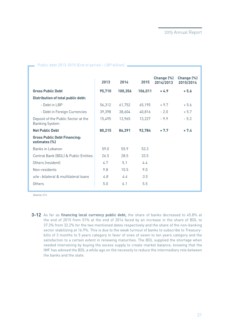|                                                              | 2013   | 2014    | 2015    | Change (%)<br>2014/2013 | Change (%)<br>2015/2014 |
|--------------------------------------------------------------|--------|---------|---------|-------------------------|-------------------------|
| <b>Gross Public Debt</b>                                     | 95,710 | 100,356 | 106,011 | $+4.9$                  | $+5.6$                  |
| <b>Distribution of total public debt:</b>                    |        |         |         |                         |                         |
| - Debt in LBP                                                | 56,312 | 61,752  | 65,195  | $+9.7$                  | $+5.6$                  |
| - Debt in Foreign Currencies                                 | 39,398 | 38,604  | 40,816  | $-2.0$                  | $+5.7$                  |
| Deposit of the Public Sector at the<br><b>Banking System</b> | 15,495 | 13,965  | 13,227  | $-9.9$                  | $-5.3$                  |
| <b>Net Public Debt</b>                                       | 80,215 | 86,391  | 92,784  | $+7.7$                  | $+7.4$                  |
| <b>Gross Public Debt Financing:</b><br>estimates (%)         |        |         |         |                         |                         |
| Banks in Lebanon                                             | 59.0   | 55.9    | 53.3    |                         |                         |
| Central Bank (BDL) & Public Entities                         | 26.5   | 28.5    | 33.5    |                         |                         |
| Others (resident)                                            | 4.7    | 5.1     | 4.4     |                         |                         |
| Non-residents                                                | 9.8    | 10.5    | 9.0     |                         |                         |
| o/w : bilateral & multilateral loans                         | 4.8    | 4.4     | 3.5     |                         |                         |
| Others                                                       | 5.0    | 6.1     | 5.5     |                         |                         |

#### Public debt 2013-2015 (End of period – LBP billion)

**Source:** BDL

**3-12** As far as financing local currency public debt, the share of banks decreased to 45.8% at the end of 2015 from 51% at the end of 2014 faced by an increase in the share of BDL to 37.3% from 32.2% for the two mentioned dates respectively and the share of the non-banking sector stabilizing at 16.9%. This is due to the weak turnout of banks to subscribe to Treasurybills of 3 months to 5 years category in favor of ones of seven to ten years category and the satisfaction to a certain extent in renewing maturities. The BDL supplied the shortage when needed intervening by buying the excess supply to create market balance, knowing that the IMF has advised the BDL a while ago on the necessity to reduce the intermediary role between the banks and the state.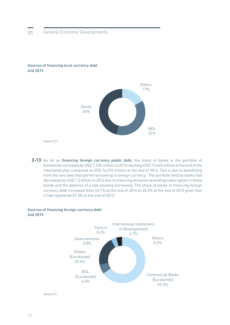

#### **Sources of financing local currency debt end 2015**

3-13 As far as financing foreign currency public debt, the share of banks in the portfolio of Eurobonds increased by USD 1,335 million in 2015 reaching USD 17,645 million at the end of the mentioned year compared to USD 16,310 million at the end of 2014. This is due to benefitting from the two laws that permit borrowing in foreign currency. The portfolio held by banks had decreased by USD 1.3 billion in 2014 due to maturing amounts exceeding subscription in these bonds and the absence of a law allowing borrowing. The share of banks in financing foreign currency debt increased from 63.7% at the end of 2014 to 65.2% at the end of 2015 given that

it had registered 67.3% at the end of 2013.

#### **Sources of financing foreign currency debt end 2015**



**Source:** BDL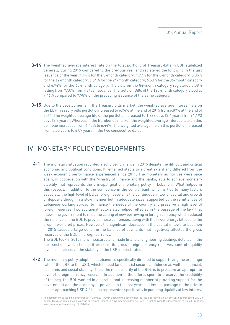- **3-14** The weighted average interest rate on the total portfolio of Treasury-bills in LBP stabilized generally during 2015 compared to the previous year and registered the following in the last issuance of the year: 4.44% for the 3-month category, 4.99% for the 6-month category, 5.35% for the 12-month category, 5.84% for the 24-month category, 6.50% for the 36-month category and 6.74% for the 60-month category. The yield on the 84-month category registered 7.08% falling from 7.50% from its last issuance. The yield on Bills of the 120-month category stood at 7.46% compared to 7.98% on the preceding issuance of the same category.
- **3-15** Due to the developments in the Treasury bills market, the weighted average interest rate on the LBP Treasury bills portfolio increased to 6.94% at the end of 2015 from 6.89% at the end of 2014. The weighted average life of the portfolio increased to 1,222 days (3.4 years) from 1,193 days (3.3 years). Whereas in the Eurobonds market, the weighted average interest rate on this portfolio increased from 6.40% to 6.44%. The weighted average life on this portfolio increased from 5.35 years to 6.09 years in the two consecutive dates.

# IV- MONETARY POLICY DEVELOPMENTS

The monetary situation recorded a solid performance in 2015 despite the difficult and critical **4-1** economic and political conditions. It remained stable to a great extent and differed from the weak economic performance experienced since 2011. The monetary authorities were once again, in cooperation with the Ministry of Finance and the banks, able to achieve monetary stability that represents the principal goal of monetary policy in Lebanon. What helped in this respect, in addition to the confidence in the central bank which is tied to many factors especially the high level of BDL's foreign assets, is the continuous inflow of capital and growth of deposits though in a slow manner but in adequate sizes, supported by the remittances of Lebanese working abroad, to finance the needs of the country and preserve a high level of foreign reserves. Two additional factors also helped reflected in the passage of the law $^{\rm 2}$  that allows the government to raise the ceiling of new borrowing in foreign currency which reduced the reliance on the BDL to provide these currencies, along with the lower energy bill due to the drop in world oil prices. However, the significant decrease in the capital inflows to Lebanon in 2015 caused a large deficit in the balance of payments that negatively affected the gross reserves of the BDL in foreign currency.

The BDL took in 2015 many measures and made financial engineering dealings detailed in the next sections which helped it preserve its gross foreign currency reserves, control liquidity levels, and preserve the stability of the LBP interest rates.

The monetary policy adopted in Lebanon is specifically directed to support tying the exchange **4-2** rate of the LBP to the USD, which helped (and still is) secure confidence as well as financial, economic and social stability. Thus, the main priority of the BDL is to preserve an appropriate level of foreign currency reserves. In addition to the efforts spent to preserve the credibility of the peg, the BDL worked in a parallel and increasing manner at providing support for the government and the economy. It provided in the last years a stimulus package to the private sector approaching USD 4.5 billion represented specifically in pumping liquidity at low interest

The parliament passed in November 2014 Law no. 14/2014 allowing the government to issue Eurobonds in an amount not exceeding USD 2.5 2billion. This also applies to 2016 as the parliament issued in November 2015 law no. 36/2015 that allowed the government to issue Eurobonds in an amount not exceeding USD 3 billion.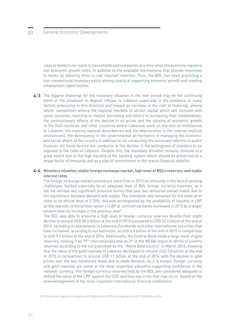rates to banks to be relent to households and companies at a time when the economy registers low economic growth rates, in addition to the available mechanisms that provide incentives to banks by allowing them to use required reserves. Thus, the BDL has been practicing a non-conventional monetary policy aiming clearly at supporting economic growth and creating employment opportunities.

The biggest challenge for the monetary situation in the next period may be the continuing **4-3** trend of the slowdown in deposit inflows to Lebanon especially in the presence of many factors pressuring in this direction and toward an increase in the cost of financing, among which: competition among the regional markets to attract capital which will increase with some countries resorting to market borrowing and others to increasing their indebtedness, the contractionary effects of the decline in oil prices and the slowing of economic growth in the Gulf countries and other countries where Lebanese work on the size of remittances to Lebanon, the ongoing regional disturbances and the deterioration in the internal political environment, the delinquency in the governmental performance in managing the economic and social affairs of the country in addition to not conducting the necessary reforms in public finances. All these factors are conducive to the decline in the willingness of investors to be exposed to the risks of Lebanon. Despite this, the monetary situation remains immune to a great extent due to the high liquidity of the banking system which should be preserved as a major factor of immunity and as a sign of commitment to the macro-financial stability.

#### **Monetary situation: stable foreign exchange market, high level of BDL's reserves, and stable 4-4 interest rates**

The foreign exchange market proved one more time in 2015 its immunity in the face of existing challenges, backed especially by an adequate level of BDL foreign currency reserves, as it did not witness any significant pressure during that year but remained overall stable due to the equilibrium between demand and supply. The interbank rate remained for the most at or close to its official level of 2.75%; this was accompanied by the availability of liquidity in LBP as the deposits of the private sector in LBP at commercial banks increased in 2015 by a larger amount than its increase in the previous year $3$ .

The BDL was able to preserve a high level of foreign currency reserves despite their slight decline to around USD 30.6 billion at the end of 2015 compared to USD 32.4 billion at the end of 2014, excluding its placements in Lebanese Eurobonds and other international securities that have increased, according to our estimates, to USD 6.5 billion at the end of 2015 in comparison to USD 5.5 billion at the end of 2014. Additionally, the Central Bank holds a large stock of gold reserves, ranking it as  $19<sup>th</sup>$  internationally and as  $2<sup>nd</sup>$  in the MENA region in terms of country reserves according to the list published by the "World Gold Council" in March 2016, knowing that the value of the gold reserves of Lebanon decreased to around USD 9.8 billion at the end of 2015 in comparison to around USD 11 billion at the end of 2014 with the decline in gold prices over the two mentioned dates due to weak demand. As it is known, foreign currency and gold reserves are some of the most important elements supporting confidence in the national currency. The foreign currency reserves held by the BDL are considered adequate to defend the value of the LBP against the USD and face any crisis that may occur, based on the acknowledgement of the most important international financial institutions.

**<sup>3</sup>** Private sector deposits increased by LBP 5,609 billion in 2015 in comparison to LBP 5,123 billion in 2014.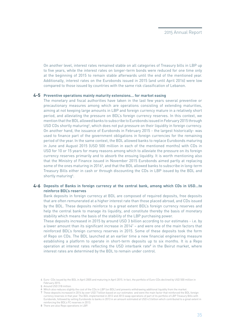On another level, interest rates remained stable on all categories of Treasury bills in LBP up to five years, while the interest rates on longer-term bonds were reduced for one time only at the beginning of 2015 to remain stable afterwards until the end of the mentioned year. Additionally, interest rates on the Eurobonds issued in 2015 (and until April 2016) were low compared to those issued by countries with the same risk classification of Lebanon.

#### **Preventive operations mainly maturity extensions… for market easing 4-5**

The monetary and fiscal authorities have taken in the last few years several preventive or precautionary measures among which are operations consisting of extending maturities, aiming at not keeping large amounts in LBP and foreign currency mature in a relatively short period, and alleviating the pressure on BDL's foreign currency reserves. In this context, we mention that the BDL allowed banks to subscribe to Eurobonds issued in February 2015 through USD CDs shortly maturing<sup>4</sup>, which does not put pressure on their liquidity in foreign currency. On another hand, the issuance of Eurobonds in February 2015 - the largest historically- was used to finance part of the government obligations in foreign currencies for the remaining period of the year. In the same context, the BDL allowed banks to replace Eurobonds maturing in June and August 2015 (USD 500 million in each of the mentioned months) with CDs in USD for 10 or 15 years for many reasons among which to alleviate the pressure on its foreign currency reserves primarily and to absorb the ensuing liquidity. It is worth mentioning also that the Ministry of Finance issued in November 2015 Eurobonds aimed partly at replacing some of the ones maturing in 2016<sup>5</sup>, and that the BDL allowed banks to subscribe in long-term Treasury Bills either in cash or through discounting the CDs in LBP issued by the BDL and shortly maturing<sup>6</sup>.

#### **Deposits of Banks in foreign currency at the central bank, among which CDs in USD…to 4-6 reinforce BDL's reserves**

Bank deposits in foreign currency at BDL are composed of required deposits, free deposits that are often remunerated at a higher interest rate than those placed abroad, and CDs issued by the BDL. These deposits reinforce to a great extent BDL's foreign currency reserves and help the central bank to manage its liquidity, and constitute thereby the basis of monetary stability which means the basis of the stability of the LBP purchasing power.

These deposits increased in 2015 by around USD 3 billion according to our estimates - i.e. by a lower amount than its significant increase in  $2014<sup>7</sup>$  – and were one of the main factors that reinforced BDL's foreign currency reserves in 2015. Some of these deposits took the form of Repo on CDs. The BDL launched at an earlier time a new financial engineering measure establishing a platform to operate in short-term deposits up to six months. It is a Repo operation at interest rates reflecting the USD interbank rate<sup>8</sup> in the Beirut market, where interest rates are determined by the BDL to remain under control.

Euro- CDs issued by the BDL in April 2005 and maturing in April 2015. In fact, the portfolio of Euro-CDs declined by USD 500 million in 4 February 2015.

<sup>5</sup> Around USD 318 million.

Which also reduces slightly the cost of the CDs in LBP (on BDL) and prevents withdrawing additional liquidity from the market. 6

These deposits increased in 2014 by over USD 7 billion based on our estimates and were the main factor that reinforced the BDL foreign 7 currency reserves in that year. The BDL implemented in 2012 and 2013 swap operations of part of its portfolio of LBP Treasury Bills with Eurobonds, followed by selling Eurobonds to banks in 2013 in an amount estimated at USD 4.5 billion which contributed to a great extent in reinforcing the BDL's FC reserves in 2013.

There are also Repo operations in LBP. 8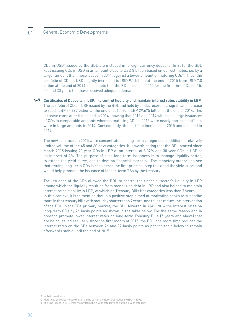CDs in USD<sup>9</sup> issued by the BDL are included in foreign currency deposits. In 2015, the BDL kept issuing CDs in USD in an amount close to USD 3 billion based on our estimates, i.e. by a larger amount than those issued in 2014, against a lower amount of maturing CDs<sup>10</sup>. Thus, the portfolio of CDs in USD slightly increased to USD 9.1 billion at the end of 2015 from USD 7.8 billion at the end of 2014. It is to note that the BDL issued in 2015 for the first time CDs for 15, 20, and 30 years that have received adequate demand.

## **Certificates of Deposits in LBP… to control liquidity and maintain interest rates stability in LBP 4-7** The portfolio of CDs in LBP issued by the BDL and held by banks recorded a significant increase to reach LBP 34,697 billion at the end of 2015 from LBP 29,675 billion at the end of 2014. This increase came after it declined in 2014 knowing that 2015 and 2014 witnessed large issuances of CDs in comparable amounts whereas maturing CDs in 2015 were nearly non-existent<sup>11</sup> but were in large amounts in 2014. Consequently, the portfolio increased in 2015 and declined in 2014.

The new issuances in 2015 were concentrated in long-term categories in addition to relatively limited volume of the 45 and 60 days categories. It is worth noting that the BDL started since March 2015 issuing 20 year CDs in LBP at an interest of 8.32% and 30 year CDs in LBP at an interest of 9%. The purpose of such long-term issuances is to manage liquidity better, to extend the yield curve, and to develop financial markets. The monetary authorities see that issuing long-term CDs is considered the first principal step to extend the yield curve and would help promote the issuance of longer-term TBs by the treasury.

The issuance of the CDs allowed the BDL to control the financial sector's liquidity in LBP among which the liquidity resulting from monetizing debt in LBP and also helped to maintain interest rates stability in LBP, of which on Treasury Bills (for categories less than 7 years). In this context, it is to mention that in a positive step aimed at motivating banks to subscribe more in the treasury bills with maturity shorter than 7 years, and thus to reduce the intervention of the BDL in the TBs primary market, the BDL lowered in April 2014 the interest rates on long-term CDs by 26 basis points as shown in the table below. For the same reason and in order to promote lower interest rates on long-term Treasury Bills (7 years and above) that are being issued regularly since the first month of 2015, the BDL one more time reduced the interest rates on the CDs between 26 and 92 basis points as per the table below to remain afterwards stable until the end of 2015.

- 9 In their usual form.
- 10 Maturities or swaps mostly the remaining part of the Euro-CDs issued by BDL in 2005.
- The CDs issued in 2010 were mainly from the 7-year category and not the 5-year category. 11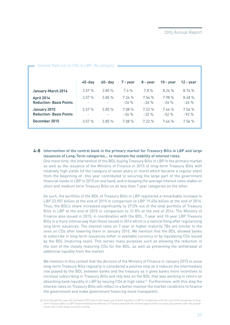| <u>INCLESTIME CULUII ODS III EDI - DY CALEGOLY</u> |            |            |                 |                 |                  |                 |
|----------------------------------------------------|------------|------------|-----------------|-----------------|------------------|-----------------|
|                                                    | $45 - day$ | $60 - day$ | 7 - year        | 8 - year        | $10 - year$      | $12 - year$     |
| <b>January-March 2014</b>                          | 3.57%      | 3.85%      | 7.6%            | 7.8%            | 8.24%            | 8.74%           |
| April 2014<br><b>Reduction-Basis Points</b>        | 3.57%      | 3.85%      | 7.34%<br>$-26%$ | 7.54%<br>$-26%$ | 7.98 %<br>$-26%$ | 8.48%<br>$-26%$ |
| January 2015<br><b>Reduction-Basis Points</b>      | 3.57%      | 3.85%      | 7.08%<br>$-26%$ | 7.22%<br>$-32%$ | 7.46%<br>$-52%$  | 7.56%<br>$-92%$ |
| December 2015                                      | 3.57%      | 3.85%      | 7.08%           | $7.22\%$        | 7.46%            | 7.56%           |

#### $cut on  $CDc$  in  $1$   $RP$ -  $Ry$   $c$  at  $ac$$

#### **Intervention of the central bank in the primary market for Treasury Bills in LBP and large 4-8 issuances of Long-Term categories… to maintain the stability of interest rates.**

One more time, the intervention of the BDL buying Treasury Bills in LBP in the primary market as well as the issuance of the Ministry of Finance in 2015 of long-term Treasury Bills with relatively high yields (of the category of seven years or more) which became a regular event from the beginning of this year contributed to securing the large part of the government financial needs in LBP in 2015 on one hand, and in keeping the average interest rates stable on short and medium term Treasury Bills on all less than 7 year categories on the other.

As such, the portfolio of the BDL of Treasury Bills in LBP registered a remarkable increase to LBP 23,907 billion at the end of 2015 in comparison to LBP 19,454 billion at the end of 2014. Thus, the BDL's share increased significantly to 37.0% out of the total portfolio of Treasury Bills in LBP at the end of 2015 in comparison to 31.8% at the end of 2014. The Ministry of Finance also issued in 2015, in coordination with the BDL, 7-year and 10-year LBP Treasury Bills in a more intense way than those issued in 2014 which is a natural thing after regularizing long term issuances. The interest rates on 7-year or higher maturity TBs are similar to the ones on CDs after lowering them in January 2015. We mention that the BDL allowed banks to subscribe in long-term issuances either in available currency or by liquidating CDs issued by the BDL (maturing soon). This serves many purposes such as allowing the reduction in the size of the closely maturing CDs for the BDL, as well as preventing the withdrawal of additional liquidity from the market.

We mention in this context that the decision of the Ministry of Finance in January 2015 to issue long-term Treasury Bills regularly is considered a positive step as it reduces the intermediary role played by the BDL between banks and the treasury as it gives banks more incentives to increase subscribing in Treasury Bills and rely less on the BDL that was working in return on absorbing bank liquidity in LBP by issuing CDs at high rates<sup>12</sup>. Furthermore, with this step the interest rates on Treasury Bills will reflect in a better manner the market conditions to finance the government and make government financing more transparent.

<sup>12</sup> Even though this was not realized in 2015 due to the large size of bank liquidity in LBP in comparison with the size of the issuances of longterm Treasury Bills in LBP implemented by the Ministry of Finance and with the limited opportunities to make placements with the private sector due to the weak economic activity.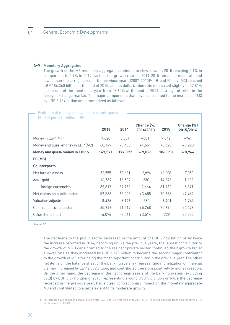## **Monetary Aggregates 4-9**

The growth of the M3 monetary aggregate continued to slow down in 2015 reaching 5.1% in comparison to 5.9% in 2014, so that the growth rate for 2011-2015 remained moderate and lower than those registered in the previous years (2007-2010)<sup>13</sup>. Broad Money (M3) reached LBP 186,360 billion at the end of 2015, and its dollarization rate decreased slightly to 57.81% at the end of the mentioned year from 58.62% at the end of 2014 as a sign of relief in the foreign exchange market. The major components that have contributed to the increase of M3 by LBP 8,964 billion are summarized as follows:

| Evolution of money supply and its counterparts |          |          |            |          |            |  |  |
|------------------------------------------------|----------|----------|------------|----------|------------|--|--|
| (End of period - billion LBP)                  |          |          |            |          |            |  |  |
|                                                |          |          | Change (%) |          | Change (%) |  |  |
|                                                | 2013     | 2014     | 2014/2013  | 2015     | 2015/2014  |  |  |
| Money in LBP (M1)                              | 7,620    | 8,301    | $+681$     | 9,042    | $+741$     |  |  |
| Money and quasi-money in LBP (M2)              | 68,749   | 73,400   | $+4,651$   | 78,620   | $+5,220$   |  |  |
| Money and quasi-money in LBP &                 | 167,571  | 177,397  | $+9,826$   | 186,360  | $+8,964$   |  |  |
| <b>FC (M3)</b>                                 |          |          |            |          |            |  |  |
| <b>Counterparts</b>                            |          |          |            |          |            |  |  |
| Net foreign assets                             | 56,555   | 53,661   | $-2,894$   | 46,608   | $-7,053$   |  |  |
| $o/w:$ gold                                    | 16,739   | 16,509   | $-230$     | 14,846   | $-1,662$   |  |  |
| foreign currencies                             | 39,817   | 37,153   | $-2,664$   | 31,762   | $-5,391$   |  |  |
| Net claims on public sector                    | 59,568   | 63,226   | $+3,658$   | 70,688   | $+7,462$   |  |  |
| Valuation adjustment                           | $-8,426$ | $-8,146$ | $+280$     | $-6,401$ | $+1,745$   |  |  |
| Claims on private sector                       | 65,949   | 71,217   | $+5,268$   | 75,695   | $+4,478$   |  |  |
| Other items (net)                              | $-6,076$ | $-2,561$ | $+3,514$   | $-229$   | $+2,332$   |  |  |

**Source:** BDL

The net loans to the public sector increased in the amount of LBP 7,462 billion or by twice the increase recorded in 2014, becoming unlike the previous years, the largest contributor to the growth of M3. Loans granted to the resident private sector continued their growth but at a lower rate as they increased by LBP 4,478 billion to become the second major contributor to the growth of M3 after being the most important contributor in the previous year. The other net items on the balance sheet of the banking system - representing monetization of financial claims- increased by LBP 2,332 billion, and contributed therefore positively to money creation. On the other hand, the decrease in the net foreign assets of the banking system (excluding gold) by LBP 5,391 billion in 2015, representing around USD 3.6 billion or twice the decrease recorded in the previous year, had a clear contractionary impact on the monetary aggregate M3 and contributed to a large extent to its moderate growth.

M3 increased by a compound annual growth rate (CAGR) of 14.7% for the period 2007-2010. The CAGR of M3 has fallen significantly to 6.1% 13for the years 2011-2015.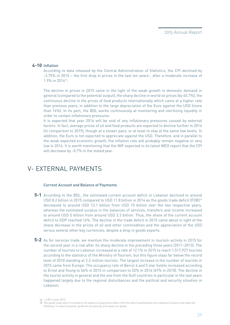## **Inflation 4-10**

According to data released by the Central Administration of Statistics, the CPI declined by -3.75% in 2015 – the first drop in prices in the last ten years-, after a moderate increase of 1.9% in 201414.

The decline in prices in 2015 came in the light of the weak growth in domestic demand in general (compared to the potential output), the sharp decline in world oil prices (by 45.7%), the continuous decline in the prices of food products internationally which came at a higher rate than previous years, in addition to the large depreciation of the Euro against the USD (more than 16%). In its part, the BDL works continuously at monitoring and sterilizing liquidity in order to contain inflationary pressures.

It is expected that year 2016 will be void of any inflationary pressures caused by external factors. In fact, average prices of oil and food products are expected to decline further in 2016 (in comparison to 2015), though at a slower pace, or at least to stay at the same low levels. In addition, the Euro is not expected to appreciate against the USD. Therefore, and in parallel to the weak expected economic growth, the inflation rate will probably remain negative or very low in 2016. It is worth mentioning that the IMF expected in its latest WEO report that the CPI will decrease by -0.7% in the stated year.

# V- EXTERNAL PAYMENTS

#### **Current Account and Balance of Payments**

- **5-1** According to the BDL, the estimated current account deficit in Lebanon declined to around USD 8.2 billion in 2015 compared to USD 11.8 billion in 2014 as the goods trade deficit (FOB)<sup>15</sup> decreased to around USD 13.1 billion from USD 15 billion over the two respective years, whereas the estimated surplus in the balances of services, transfers and income increased to around USD 5 billion from around USD 3.3 billion. Thus, the share of the current account deficit to GDP reached 16%. The decline in the trade deficit in 2015 came about in light of the sharp decrease in the prices of oil and other commodities and the appreciation of the USD versus several other key currencies, despite a drop in goods exports.
- **5-2** As for services trade, we mention the moderate improvement in tourism activity in 2015 for the second year in a row after its sharp decline in the preceding three years (2011-2013). The number of tourists to Lebanon increased at a rate of 12.1% in 2015 to reach 1,517,927 tourists according to the statistics of the Ministry of Tourism, but this figure stays far below the record level of 2010 standing at 2.2 million tourists. The largest increase in the number of tourists in 2015 came from Europe. The occupancy rate of Beirut 4 and 5 star hotels increased according to Ernst and Young to 56% in 2015 in comparison to 52% in 2014 (67% in 2010). The decline in the tourist activity in general and the one from the Gulf countries in particular in the last years happened largely due to the regional disturbances and the political and security situation in Lebanon.

<sup>14 + 4.8%</sup> in year 2013.

The goods trade deficit recorded in the balance of payments differs from the deficit published by the Lebanese Customs that adds the 15 following: re-exported goods, goods for processing, and repairs on goods.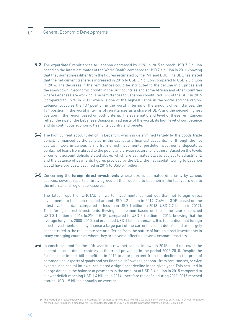# 01 General Economic Developments

- **5-3** The expatriates' remittances to Lebanon decreased by 3.3% in 2015 to reach USD 7.2 billion based on the latest estimates of the World Bank<sup>16</sup> compared to USD 7.4 billion in 2014 knowing that they sometimes differ from the figures estimated by the IMF and BDL. The BDL has stated that the net current transfers increased in 2015 to USD 3.4 billion compared to USD 2.3 billion in 2014. The decrease in the remittances could be attributed to the decline in oil prices and the slow-down in economic growth in the Gulf countries and some African and other countries where Lebanese are working. The remittances to Lebanon constituted 14% of the GDP in 2015 (compared to 15 % in 2014) which is one of the highest ratios in the world and the region. Lebanon occupies the 13<sup>th</sup> position in the world in terms of the amount of remittances, the 19<sup>th</sup> position in the world in terms of remittances as a share of GDP, and the second highest position in the region based on both criteria. The systematic and level of these remittances reflect the size of the Lebanese Diaspora in all parts of the world, its high level of competence and its continuous economic ties to its country and people.
- **5-4** The high current account deficit in Lebanon, which is determined largely by the goods trade deficit, is financed by the surplus in the capital and financial accounts, i.e. through the net capital inflows in various forms from direct investments, portfolio investments, deposits at banks, net loans from abroad to the public and private sectors, and others. Based on the levels of current account deficits stated above, which are estimates always subject to adjustment, and the balance of payments figures provided by the BDL, the net capital flowing to Lebanon would have obviously declined in 2015 to USD 5.1 billion.
- 5-5 Concerning the foreign direct investments whose size is estimated differently by various sources, several reports entirely agreed on their decline to Lebanon in the last years due to the internal and regional pressures.

The latest report of UNCTAD on world investments pointed out that net foreign direct investments to Lebanon reached around USD 1.2 billion in 2014 (2.4% of GDP) based on the latest available data compared to less than USD 1 billion in 2013 (USD 2.2 billion in 2012). Total foreign direct investments flowing to Lebanon based on the same source reached USD 3.1 billion in 2014 (6.2% of GDP) compared to USD 2.9 billion in 2013, knowing that the average for years 2008-2010 had exceeded USD 4 billion annually. It is to mention that foreign direct investments usually finance a large part of the current account deficits and are largely concentrated in the real estate sector differing from the nature of foreign direct investments in many emerging countries where they are diverse affecting several economic sectors.

**5-6** In conclusion and for the fifth year in a row, net capital inflows in 2015 could not cover the current account deficit contrary to the trend prevailing in the period 2002-2010. Despite the fact that the import bill benefitted in 2015 to a large extent from the decline in the price of commodities, exports of goods and net financial inflows to Lebanon –from remittances, service exports, and capital inflows- registered a significant decline in the given year. This resulted in a large deficit in the balance of payments in the amount of USD 3.4 billion in 2015 compared to a lower deficit reaching USD 1.4 billion in 2014, therefore the deficit during 2011-2015 reached around USD 1.9 billion annually on average.

The World Bank revised downward its estimate for remittance inflows in 2015 to USD 7.2 billion from previous estimates in October that have 16reached USD 7.5 billion. It also lowered its estimates for 2014 to USD 7.4 billion from previous estimates of USD 7.45 billion.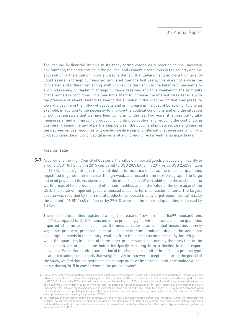The decline in financial inflows in its many forms comes as a reaction to the uncertain environment, the deterioration in the political and economic conditions in the country and the aggravation of the situation in Syria. Despite the fact that Lebanon still enjoys a high level of liquid assets in foreign currency accumulated over the last years, this does not excuse the concerned authorities from acting swiftly to reduce the deficit in the balance of payments to avoid weakening or depleting foreign currency reserves and thus weakening the immunity of the monetary conditions. This may force them to increase the interest rates especially in the presence of several factors related to the situation in the Arab region that may pressure toward a decline in the inflow of deposits and an increase in the cost of borrowing. To cite an example, in addition to the necessity to improve the political conditions and end the situation of political paralysis that we have been living in for the last two years, it is possible to take measures aimed at improving productivity, fighting corruption and reducing the cost of doing business. Passing the law of partnership between the public and private sectors and passing the decrees on gas resources will convey positive signs to international investors which will probably raise the inflow of capital in general and foreign direct investments in particular.

#### **Foreign Trade**

According to the High Council of Customs, the value of imported goods dropped significantly to **5-7** around USD 18.1 billion in 2015 compared to USD 20.5 billion in 2014 or by USD 2,425 million or 11.8%. This large drop is mainly attributed to the price effect as the imported quantities registered in general an increase, though weak, addressed in the next paragraph. The large fall in oil prices left its visible impact on the import bill in 2015 in addition to the decline in the world prices of food products and other commodities and in the value of the euro against the USD. The value of imported goods witnessed a decline for most customs items. The largest decline was recorded by the mineral products composed mostly of petroleum derivatives, by the amount of USD 1448 million or by 29.6 % whereas the imported quantities increased by 1.9%17.

The imported quantities registered a slight increase of 1.6% to reach 15,699 thousand tons in 2015 compared to 15,452 thousand in the preceding year with an increase in the quantities imported of some products such as the ones considered as essential necessities namely vegetable products, prepared foodstuffs, and petroleum products- due to the additional consumption needs in the country resulting from the enormous numbers of Syrian refugeeswhile the quantities imported of some other products declined namely the ones tied to the construction sector and some industries (partly resulting from a decline in their export activities). Even after careful examination of the change in quantities imported by product type, or after excluding some goods that weigh heavily or that were exceptional during the period of the study, we find that the results do not change much as imported quantities remained quasistable during 2015 in comparison to the previous year<sup>18</sup>.

<sup>17</sup> Out of some of the most important category of goods that registered a decrease in the value of imports and contributed, though to a lesser extent, to the decline in the value of imported goods in 2015, we mention: the base metals and articles of base metal whose imports declined by USD 340 million or by 22.7% and their imported quantities declined by 13.0%, the machinery and electrical equipment whose imports declined by USD 195 million or by 8.9 % while the imported quantities increased substantially (+113.9%) affected by the import of an electric transformer, the precious stones and precious metals whose imports declined by USD 154 million or by 15.8 % with the decrease in world prices and also in the imported quantities, and the live animals and animal products whose imports declined by USD 142 million or 13.5 % accompanied by a decline in import quantities of 7.5%.

For example, after excluding the mineral products that weigh heavy and whose imported quantities increased in 2015, the machinery and 18electrical equipment whose imported quantities showed an exceptional increase in the given year, the base metals and articles of base metal that weigh heavy and whose imported quantities have decreased, the imported quantities of all other product type would have registered an increase by 0.9 % in 2015.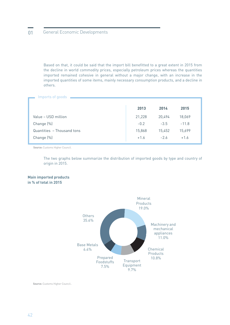Based on that, it could be said that the import bill benefitted to a great extent in 2015 from the decline in world commodity prices, especially petroleum prices whereas the quantities imported remained cohesive in general without a major change, with an increase in the imported quantities of some items, mainly necessary consumption products, and a decline in others.

#### Imports of goods

|                            | 2013   | 2014   | 2015    |
|----------------------------|--------|--------|---------|
| Value - USD million        | 21,228 | 20,494 | 18,069  |
| Change (%)                 | $-0.2$ | $-3.5$ | $-11.8$ |
| Quantities - Thousand tons | 15,868 | 15,452 | 15,699  |
| Change (%)                 | $+1.6$ | $-2.6$ | $+1.6$  |

**Source:** Customs Higher Council.

The two graphs below summarize the distribution of imported goods by type and country of origin in 2015.

#### **Main imported products in % of total in 2015**



**Source:** Customs Higher Council..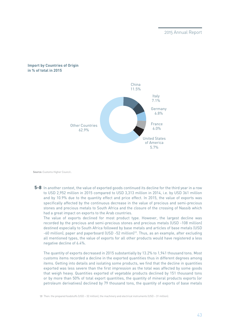## **Import by Countries of Origin in % of total in 2015**



**Source:** Customs Higher Council..

In another context, the value of exported goods continued its decline for the third year in a row **5-8** to USD 2,952 million in 2015 compared to USD 3,313 million in 2014, i.e. by USD 361 million and by 10.9% due to the quantity effect and price effect. In 2015, the value of exports was specifically affected by the continuous decrease in the value of precious and semi-precious stones and precious metals to South Africa and the closure of the crossing of Nassib which had a great impact on exports to the Arab countries.

The value of exports declined for most product type. However, the largest decline was recorded by the precious and semi-precious stones and precious metals (USD -108 million) destined especially to South Africa followed by base metals and articles of base metals (USD -60 million), paper and paperboard (USD -52 million)19. Thus, as an example, after excluding all mentioned types, the value of exports for all other products would have registered a less negative decline of 6.4%.

The quantity of exports decreased in 2015 substantially by 13.2% to 1,941 thousand tons. Most customs items recorded a decline in the exported quantities thus in different degrees among items. Getting into details and isolating some products, we find that the decline in quantities exported was less severe than the first impression as the total was affected by some goods that weigh heavy. Quantities exported of vegetable products declined by 151 thousand tons or by more than 50% of total export quantities, the quantity of mineral products exports (or petroleum derivatives) declined by 79 thousand tons, the quantity of exports of base metals

19 Then: the prepared foodstuffs (USD – 32 million), the machinery and electrical instruments (USD – 31 million).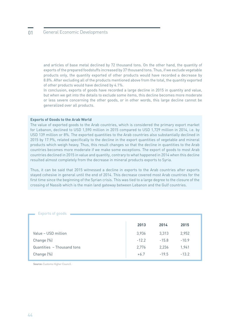and articles of base metal declined by 72 thousand tons. On the other hand, the quantity of exports of the prepared foodstuffs increased by 37 thousand tons. Thus, if we exclude vegetable products only, the quantity exported of other products would have recorded a decrease by 8.8%. After excluding all of the products mentioned above from the total, the quantity exported of other products would have declined by 4.1%.

In conclusion, exports of goods have recorded a large decline in 2015 in quantity and value, but when we get into the details to exclude some items, this decline becomes more moderate or less severe concerning the other goods, or in other words, this large decline cannot be generalized over all products.

#### **Exports of Goods to the Arab World**

The value of exported goods to the Arab countries, which is considered the primary export market for Lebanon, declined to USD 1,590 million in 2015 compared to USD 1,729 million in 2014, i.e. by USD 139 million or 8%. The exported quantities to the Arab countries also substantially declined in 2015 by 17.9%, related specifically to the decline in the export quantities of vegetable and mineral products which weigh heavy. Thus, this result changes so that the decline in quantities to the Arab countries becomes more moderate if we make some exceptions. The export of goods to most Arab countries declined in 2015 in value and quantity, contrary to what happened in 2014 when this decline resulted almost completely from the decrease in mineral products exports to Syria.

Thus, it can be said that 2015 witnessed a decline in exports to the Arab countries after exports stayed cohesive in general until the end of 2014. This decrease covered most Arab countries for the first time since the beginning of the Syrian crisis. This was tied to a large degree to the closure of the crossing of Nassib which is the main land gateway between Lebanon and the Gulf countries.

|                            | 2013    | 2014    | 2015    |  |
|----------------------------|---------|---------|---------|--|
| Value - USD million        | 3,936   | 3,313   | 2,952   |  |
| Change (%)                 | $-12.2$ | $-15.8$ | $-10.9$ |  |
| Quantities - Thousand tons | 2,776   | 2,236   | 1,941   |  |
| Change (%)                 | $+6.7$  | $-19.5$ | $-13.2$ |  |

#### Exports of goods

**Source:** Customs Higher Council.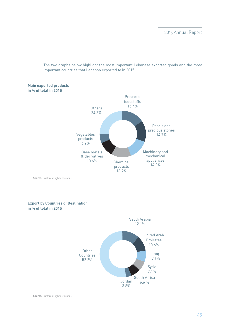The two graphs below highlight the most important Lebanese exported goods and the most important countries that Lebanon exported to in 2015.



**Source:** Customs Higher Council..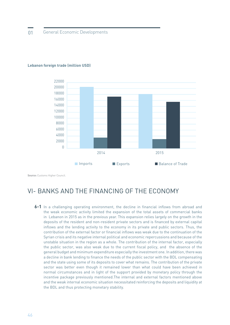

#### **Lebanon foreign trade (million USD)**

**Source:** Customs Higher Council.

# VI- BANKS AND THE FINANCING OF THE ECONOMY

6-1 In a challenging operating environment, the decline in financial inflows from abroad and the weak economic activity limited the expansion of the total assets of commercial banks in Lebanon in 2015 as in the previous year. This expansion relies largely on the growth in the deposits of the resident and non-resident private sectors and is financed by external capital inflows and the lending activity to the economy in its private and public sectors. Thus, the contribution of the external factor or financial inflows was weak due to the continuation of the Syrian crisis and its negative internal political and economic repercussions and because of the unstable situation in the region as a whole. The contribution of the internal factor, especially the public sector, was also weak due to the current fiscal policy, and the absence of the general budget and minimum expenditure especially the investment one. In addition, there was a decline in bank lending to finance the needs of the public sector with the BDL compensating and the state using some of its deposits to cover what remains. The contribution of the private sector was better even though it remained lower than what could have been achieved in normal circumstances and in light of the support provided by monetary policy through the incentive package previously mentioned.The internal and external factors mentioned above and the weak internal economic situation necessitated reinforcing the deposits and liquidity at the BDL and thus protecting monetary stability.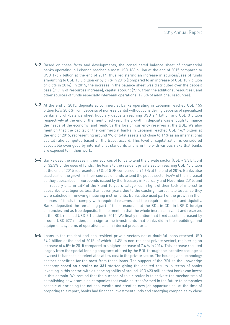- 6-2 Based on these facts and developments, the consolidated balance sheet of commercial banks operating in Lebanon reached almost USD 186 billion at the end of 2015 compared to USD 175.7 billion at the end of 2014, thus registering an increase in sources/uses of funds amounting to USD 10.3 billion or by 5.9% in 2015 (compared to an increase of USD 10.9 billion or 6.6% in 2014). In 2015, the increase in the balance sheet was distributed over the deposit base (71.1% of resources increase), capital account (9.1% from the additional resources), and other sources of funds especially interbank operations (19.8% of additional resources).
- 6-3 At the end of 2015, deposits at commercial banks operating in Lebanon reached USD 155 billion (o/w 20.6% from deposits of non-residents) without considering deposits of specialized banks and off-balance sheet fiduciary deposits reaching USD 2.4 billion and USD 3 billion respectively at the end of the mentioned year. The growth in deposits was enough to finance the needs of the economy, and reinforce the foreign currency reserves at the BDL. We also mention that the capital of the commercial banks in Lebanon reached USD 16.7 billion at the end of 2015, representing around 9% of total assets and close to 14% as an international capital ratio computed based on the Basel accord. This level of capitalization is considered acceptable even good by international standards and is in line with various risks that banks are exposed to in their work.
- Banks used the increase in their sources of funds to lend the private sector (USD + 3.3 billion) **6-4** or 32.3% of the uses of funds. The loans to the resident private sector reaching USD 48 billion at the end of 2015 represented 96% of GDP compared to 91.6% at the end of 2014. Banks also used part of the growth in their sources of funds to lend the public sector (4.4% of the increase) as they subscribed in Eurobonds issued by the Treasury in February and November 2015, and in Treasury bills in LBP of the 7 and 10 years categories in light of their lack of interest to subscribe to categories less than seven years due to the existing interest rate levels, so they were satisfied in renewing maturing instruments. Banks also used part of the growth in their sources of funds to comply with required reserves and the required deposits and liquidity. Banks deposited the remaining part of their resources at the BDL in CDs in LBP & foreign currencies and as free deposits. It is to mention that the whole increase in vault and reserves at the BDL reached USD 7.1 billion in 2015. We finally mention that fixed assets increased by around USD 522 million, as a sign to the investments that banks did in their buildings and equipment, systems of operations and in internal procedures.
- Loans to the resident and non-resident private sectors net of doubtful loans reached USD **6-5**54.2 billion at the end of 2015 (of which 11.4% to non-resident private sector), registering an increase of 6.5% in 2015 compared to a higher increase of 7.4 % in 2014. This increase resulted largely from the special lending programs offered by the BDL through the incentive package at low cost to banks to be relent also at low cost to the private sector. The housing and technology sectors benefitted for the most from these loans. The support of the BDL to the knowledge economy **based on circular no 331** started giving the desired results in terms of banks investing in this sector, with a financing ability of around USD 623 million that banks can invest in this domain. We remind that the purpose of this circular is to activate the mechanisms of establishing new promising companies that could be transformed in the future to companies capable of enriching the national wealth and creating new job opportunities. At the time of preparing this report, banks had financed investment funds and emerging companies by close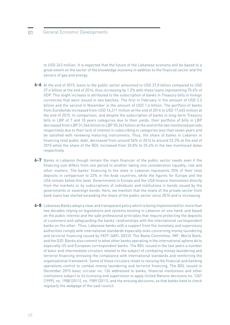to USD 243 million. It is expected that the future of the Lebanese economy will be based to a great extent on the sector of the knowledge economy in addition to the financial sector and the sectors of gas and energy.

- At the end of 2015, loans to the public sector amounted to USD 37.8 billion compared to USD **6-6** 37.4 billion at the end of 2014, thus increasing by 1.2% with these loans representing 75.6% of GDP. This slight increase is attributed to the subscription of banks in Treasury bills in foreign currencies that were issued in two batches: The first in February in the amount of USD 2.2 billion and the second in November in the amount of USD 1.6 billion. The portfolio of banks from Eurobonds increased from USD 16,311 million at the end of 2014 to USD 17,645 million at the end of 2015. In comparison, and despite the subscription of banks in long-term Treasury bills in LBP of 7 and 10 years categories due to their yields, their portfolio of bills in LBP decreased from LBP 31,564 billion to LBP 30,243 billion at the end of the two mentioned periods respectively due to their lack of interest in subscribing in categories less than seven years and be satisfied with renewing maturing instruments. Thus, the share of banks in Lebanon in financing total public debt, decreased from around 56% in 2014 to around 53.3% at the end of 2015 while the share of the BDL increased from 20.8% to 25.4% in the two mentioned dates respectively.
- Banks in Lebanon though remain the main financier of the public sector needs even if the **6-7** financing size differs from one period to another taking into consideration liquidity, risk and other matters. The banks' financing to the state in Lebanon represents 25% of their total deposits in comparison to 23% in the Arab countries, while the figures for Europe and the USA remain below this level. Governments in Europe and the USA finance themselves directly from the markets or by subscriptions of individuals and institutions in bonds issued by the governments or sovereign bonds. Here, we mention that the share of the private sector from bank loans has started exceeding the share of the public sector since 2010 and is increasing.
- Lebanese Banks adopt a clear and transparent policy which is being implemented for more than **6-8**two decades relying on legislations and systems existing in Lebanon on one hand, and based on the public interest and the safe professional principles that require protecting the deposits of customers and safeguarding the banks' relationships with the international correspondent banks on the other. Thus, Lebanese banks with a support from the monetary and supervisory authorities comply with international standards especially ones concerning money laundering and terrorist financing issued by FATF-GAFI, OECD, The Basle Committee, IMF, World Bank, and the G20. Banks also commit to what other banks operating in the international sphere do to especially US and European correspondent banks. The BDL issued in the last years a number of basic and intermediate circulars related to the subject of combating money laundering and terrorist financing stressing the compliance with international standards and reinforcing the organizational framework. Some of these circulars relate to revising the financial and banking operations control to combat money laundering and terrorist financing. The BDL issued in December 2015 basic circular no. 136 addressed to banks, financial institutions and other institutions subject to its licensing and supervision to apply United Nations decisions no. 1267 (1999), no. 1988 (2011), no. 1989 (2011), and the ensuing decisions, so that banks have to check regularly the webpage of the said council.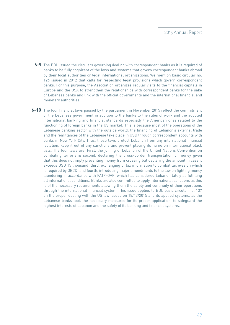- The BDL issued the circulars governing dealing with correspondent banks as it is required of **6-9** banks to be fully cognizant of the laws and systems that govern correspondent banks abroad by their local authorities or legal international organizations. We mention basic circular no. 126 issued in 2012 that calls for respecting legal provisions which govern correspondent banks. For this purpose, the Association organizes regular visits to the financial capitals in Europe and the USA to strengthen the relationships with correspondent banks for the sake of Lebanese banks and link with the official governments and the international financial and monetary authorities.
- **6-10** The four financial laws passed by the parliament in November 2015 reflect the commitment of the Lebanese government in addition to the banks to the rules of work and the adopted international banking and financial standards especially the American ones related to the functioning of foreign banks in the US market. This is because most of the operations of the Lebanese banking sector with the outside world, the financing of Lebanon's external trade and the remittances of the Lebanese take place in USD through correspondent accounts with banks in New York City. Thus, these laws protect Lebanon from any international financial isolation, keep it out of any sanctions and prevent placing its name on international black lists. The four laws are: First, the joining of Lebanon of the United Nations Convention on combating terrorism; second, declaring the cross-border transportation of money given that this does not imply preventing money from crossing but declaring the amount in case it exceeds USD 15 thousand; third, exchanging of tax information to combat tax evasion which is required by OECD; and fourth, introducing major amendments to the law on fighting money laundering in accordance with FATF-GAFI which has considered Lebanon lately as fulfilling all international conditions. Banks are also committed to apply international sanctions as this is of the necessary requirements allowing them the safety and continuity of their operations through the international financial system. This issue applies to BDL basic circular no. 137 on the proper dealing with the US law issued on 18/12/2015 and its applied systems, as the Lebanese banks took the necessary measures for its proper application, to safeguard the highest interests of Lebanon and the safety of its banking and financial systems.